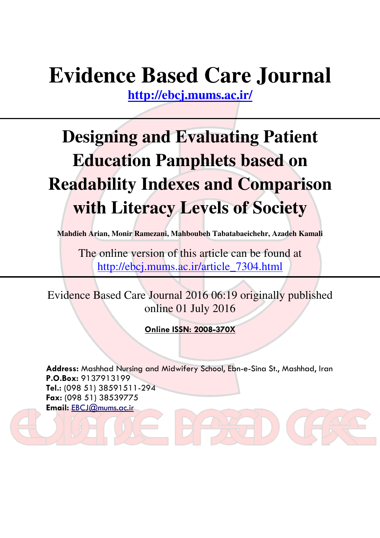# **Evidence Based Care Journal**

**http://ebcj.mums.ac.ir/**

# **Designing and Evaluating Patient Education Pamphlets based on Readability Indexes and Comparison with Literacy Levels of Society**

**Mahdieh Arian, Monir Ramezani, Mahboubeh Tabatabaeichehr, Azadeh Kamali** 

The online version of this article can be found at http://ebcj.mums.ac.ir/article\_7304.html

Evidence Based Care Journal 2016 06:19 originally published online 01 July 2016

Online ISSN: 2008-370X

Address: Mashhad Nursing and Midwifery School, Ebn-e-Sina St., Mashhad, Iran P.O.Box: 9137913199 Tel.: (098 51) 38591511-294 Fax: (098 51) 38539775 Email: EBCJ@mums.ac.ir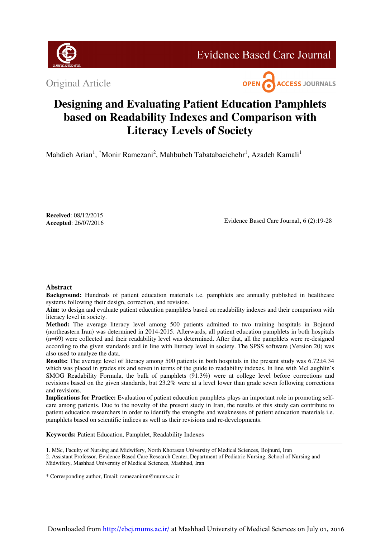

**Evidence Based Care Journal** 

Original Article



# **Designing and Evaluating Patient Education Pamphlets based on Readability Indexes and Comparison with Literacy Levels of Society**

Mahdieh Arian<sup>1</sup>, \*Monir Ramezani<sup>2</sup>, Mahbubeh Tabatabaeichehr<sup>1</sup>, Azadeh Kamali<sup>1</sup>

**Received**: 08/12/2015  **Accepted**: 26/07/2016

Evidence Based Care Journal, 6 (2):19-28

# **Abstract**

**Background:** Hundreds of patient education materials i.e. pamphlets are annually published in healthcare systems following their design, correction, and revision.

**Aim:** to design and evaluate patient education pamphlets based on readability indexes and their comparison with literacy level in society.

**Method:** The average literacy level among 500 patients admitted to two training hospitals in Bojnurd (northeastern Iran) was determined in 2014-2015. Afterwards, all patient education pamphlets in both hospitals (n=69) were collected and their readability level was determined. After that, all the pamphlets were re-designed according to the given standards and in line with literacy level in society. The SPSS software (Version 20) was also used to analyze the data.

**Results:** The average level of literacy among 500 patients in both hospitals in the present study was 6.72 $\pm$ 4.34 which was placed in grades six and seven in terms of the guide to readability indexes. In line with McLaughlin's SMOG Readability Formula, the bulk of pamphlets (91.3%) were at college level before corrections and revisions based on the given standards, but 23.2% were at a level lower than grade seven following corrections and revisions.

**Implications for Practice:** Evaluation of patient education pamphlets plays an important role in promoting selfcare among patients. Due to the novelty of the present study in Iran, the results of this study can contribute to patient education researchers in order to identify the strengths and weaknesses of patient education materials i.e. pamphlets based on scientific indices as well as their revisions and re-developments.

**Keywords:** Patient Education, Pamphlet, Readability Indexes

1. MSc, Faculty of Nursing and Midwifery, North Khorasan University of Medical Sciences, Bojnurd, Iran

2. Assistant Professor, Evidence Based Care Research Center, Department of Pediatric Nursing, School of Nursing and Midwifery, Mashhad University of Medical Sciences, Mashhad, Iran

\* Corresponding author, Email: ramezanimn@mums.ac.ir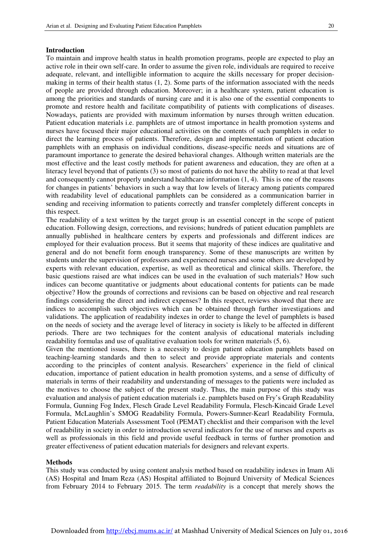# **Introduction**

֞

To maintain and improve health status in health promotion programs, people are expected to play an active role in their own self-care. In order to assume the given role, individuals are required to receive adequate, relevant, and intelligible information to acquire the skills necessary for proper decisionmaking in terms of their health status  $(1, 2)$ . Some parts of the information associated with the needs of people are provided through education. Moreover; in a healthcare system, patient education is among the priorities and standards of nursing care and it is also one of the essential components to promote and restore health and facilitate compatibility of patients with complications of diseases. Nowadays, patients are provided with maximum information by nurses through written education. Patient education materials i.e. pamphlets are of utmost importance in health promotion systems and nurses have focused their major educational activities on the contents of such pamphlets in order to direct the learning process of patients. Therefore, design and implementation of patient education pamphlets with an emphasis on individual conditions, disease-specific needs and situations are of paramount importance to generate the desired behavioral changes. Although written materials are the most effective and the least costly methods for patient awareness and education, they are often at a literacy level beyond that of patients (3) so most of patients do not have the ability to read at that level and consequently cannot properly understand healthcare information (1, 4). This is one of the reasons for changes in patients' behaviors in such a way that low levels of literacy among patients compared with readability level of educational pamphlets can be considered as a communication barrier in sending and receiving information to patients correctly and transfer completely different concepts in this respect.

The readability of a text written by the target group is an essential concept in the scope of patient education. Following design, corrections, and revisions; hundreds of patient education pamphlets are annually published in healthcare centers by experts and professionals and different indices are employed for their evaluation process. But it seems that majority of these indices are qualitative and general and do not benefit form enough transparency. Some of these manuscripts are written by students under the supervision of professors and experienced nurses and some others are developed by experts with relevant education, expertise, as well as theoretical and clinical skills. Therefore, the basic questions raised are what indices can be used in the evaluation of such materials? How such indices can become quantitative or judgments about educational contents for patients can be made objective? How the grounds of corrections and revisions can be based on objective and real research findings considering the direct and indirect expenses? In this respect, reviews showed that there are indices to accomplish such objectives which can be obtained through further investigations and validations. The application of readability indexes in order to change the level of pamphlets is based on the needs of society and the average level of literacy in society is likely to be affected in different periods. There are two techniques for the content analysis of educational materials including readability formulas and use of qualitative evaluation tools for written materials (5, 6).

Given the mentioned issues, there is a necessity to design patient education pamphlets based on teaching-learning standards and then to select and provide appropriate materials and contents according to the principles of content analysis. Researchers' experience in the field of clinical education, importance of patient education in health promotion systems, and a sense of difficulty of materials in terms of their readability and understanding of messages to the patients were included as the motives to choose the subject of the present study. Thus, the main purpose of this study was evaluation and analysis of patient education materials i.e. pamphlets based on Fry's Graph Readability Formula, Gunning Fog Index, Flesch Grade Level Readability Formula, Flesch-Kincaid Grade Level Formula, McLaughlin's SMOG Readability Formula, Powers-Sumner-Kearl Readability Formula, Patient Education Materials Assessment Tool (PEMAT) checklist and their comparison with the level of readability in society in order to introduction several indicators for the use of nurses and experts as well as professionals in this field and provide useful feedback in terms of further promotion and greater effectiveness of patient education materials for designers and relevant experts.

#### **Methods**

This study was conducted by using content analysis method based on readability indexes in Imam Ali (AS) Hospital and Imam Reza (AS) Hospital affiliated to Bojnurd University of Medical Sciences from February 2014 to February 2015. The term *readability* is a concept that merely shows the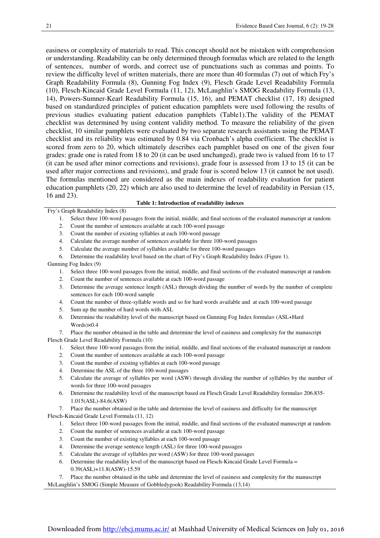easiness or complexity of materials to read. This concept should not be mistaken with comprehension or understanding. Readability can be only determined through formulas which are related to the length of sentences, number of words, and correct use of punctuations such as commas and points. To review the difficulty level of written materials, there are more than 40 formulas (7) out of which Fry's Graph Readability Formula (8), Gunning Fog Index (9), Flesch Grade Level Readability Formula (10), Flesch-Kincaid Grade Level Formula (11, 12), McLaughlin's SMOG Readability Formula (13, 14), Powers-Sumner-Kearl Readability Formula (15, 16), and PEMAT checklist (17, 18) designed based on standardized principles of patient education pamphlets were used following the results of previous studies evaluating patient education pamphlets (Table1).The validity of the PEMAT checklist was determined by using content validity method. To measure the reliability of the given checklist, 10 similar pamphlets were evaluated by two separate research assistants using the PEMAT checklist and its reliability was estimated by 0.84 via Cronbach's alpha coefficient. The checklist is scored from zero to 20, which ultimately describes each pamphlet based on one of the given four grades: grade one is rated from 18 to 20 (it can be used unchanged), grade two is valued from 16 to 17 (it can be used after minor corrections and revisions), grade four is assessed from 13 to 15 (it can be used after major corrections and revisions), and grade four is scored below 13 (it cannot be not used). The formulas mentioned are considered as the main indexes of readability evaluation for patient education pamphlets (20, 22) which are also used to determine the level of readability in Persian (15, 16 and 23).

# **Table 1: Introduction of readability indexes**

Fry's Graph Readability Index (8)

- 1. Select three 100-word passages from the initial, middle, and final sections of the evaluated manuscript at random
- 2. Count the number of sentences available at each 100-word passage
- 3. Count the number of existing syllables at each 100-word passage
- 4. Calculate the average number of sentences available for three 100-word passages
- 5. Calculate the average number of syllables available for three 100-word passages
- 6. Determine the readability level based on the chart of Fry's Graph Readability Index (Figure 1).

Gunning Fog Index (9)

- 1. Select three 100-word passages from the initial, middle, and final sections of the evaluated manuscript at random
- 2. Count the number of sentences available at each 100-word passage
- 3. Determine the average sentence length (ASL) through dividing the number of words by the number of complete sentences for each 100-word sample
- 4. Count the number of three-syllable words and so for hard words available and at each 100-word passage
- 5. Sum up the number of hard words with ASL
- 6. Determine the readability level of the manuscript based on Gunning Fog Index formula= (ASL+Hard Words)×0.4
- 7. Place the number obtained in the table and determine the level of easiness and complexity for the manuscript

Flesch Grade Level Readability Formula (10)

- 1. Select three 100-word passages from the initial, middle, and final sections of the evaluated manuscript at random
- 2. Count the number of sentences available at each 100-word passage
- 3. Count the number of existing syllables at each 100-word passage
- 4. Determine the ASL of the three 100-word passages
- 5. Calculate the average of syllables per word (ASW) through dividing the number of syllables by the number of words for three 100-word passages
- 6. Determine the readability level of the manuscript based on Flesch Grade Level Readability formula= 206.835- 1.015(ASL)-84.6(ASW)
- 7. Place the number obtained in the table and determine the level of easiness and difficulty for the manuscript

Flesch-Kincaid Grade Level Formula (11, 12)

- 1. Select three 100-word passages from the initial, middle, and final sections of the evaluated manuscript at random
- 2. Count the number of sentences available at each 100-word passage
- 3. Count the number of existing syllables at each 100-word passage
- 4. Determine the average sentence length (ASL) for three 100-word passages
- 5. Calculate the average of syllables per word (ASW) for three 100-word passages
- 6. Determine the readability level of the manuscript based on Flesch-Kincaid Grade Level Formula = 0.39(ASL)+11.8(ASW)-15.59
- Place the number obtained in the table and determine the level of easiness and complexity for the manuscript

McLaughlin's SMOG (Simple Measure of Gobbledygook) Readability Formula (13,14)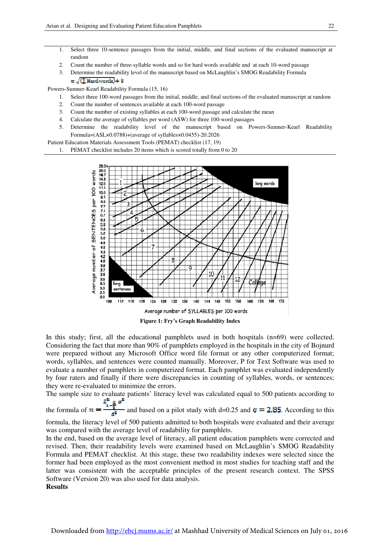- 1. Select three 10-sentence passages from the initial, middle, and final sections of the evaluated manuscript at random
- 2. Count the number of three-syllable words and so for hard words available and at each 10-word passage
- 3. Determine the readability level of the manuscript based on McLaughlin's SMOG Readability Formula =  $\sqrt{(\sum \text{Hardwords}) + 3}$

Powers-Sumner-Kearl Readability Formula (15, 16)

֞

- 1. Select three 100-word passages from the initial, middle, and final sections of the evaluated manuscript at random
- 2. Count the number of sentences available at each 100-word passage
- 3. Count the number of existing syllables at each 100-word passage and calculate the mean
- 4. Calculate the average of syllables per word (ASW) for three 100-word passages
- 5. Determine the readability level of the manuscript based on Powers-Sumner-Kearl Readability Formula=(ASL×0.0788)+(average of syllables×0.0455)-20.2026

Patient Education Materials Assessment Tools (PEMAT) checklist (17, 19)

PEMAT checklist includes 20 items which is scored totally from 0 to 20



In this study; first, all the educational pamphlets used in both hospitals (n=69) were collected. Considering the fact that more than 90% of pamphlets employed in the hospitals in the city of Bojnurd were prepared without any Microsoft Office word file format or any other computerized format; words, syllables, and sentences were counted manually. Moreover, P for Text Software was used to evaluate a number of pamphlets in computerized format. Each pamphlet was evaluated independently by four raters and finally if there were discrepancies in counting of syllables, words, or sentences; they were re-evaluated to minimize the errors.

The sample size to evaluate patients' literacy level was calculated equal to 500 patients according to the formula of  $n = \frac{\frac{z^n}{4} - \frac{a}{2}}{\frac{d^n}{4}}$  and based on a pilot study with d=0.25 and  $\sigma = 2.85$ . According to this

formula, the literacy level of 500 patients admitted to both hospitals were evaluated and their average was compared with the average level of readability for pamphlets.

In the end, based on the average level of literacy, all patient education pamphlets were corrected and revised. Then, their readability levels were examined based on McLaughlin's SMOG Readability Formula and PEMAT checklist. At this stage, these two readability indexes were selected since the former had been employed as the most convenient method in most studies for teaching staff and the latter was consistent with the acceptable principles of the present research context. The SPSS Software (Version 20) was also used for data analysis. **Results**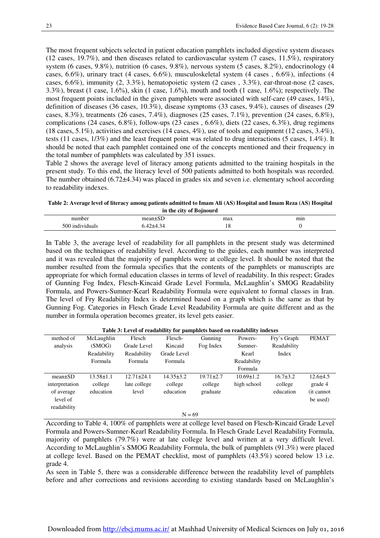The most frequent subjects selected in patient education pamphlets included digestive system diseases (12 cases, 19.7%), and then diseases related to cardiovascular system (7 cases, 11.5%), respiratory system (6 cases, 9.8%), nutrition (6 cases, 9.8%), nervous system (5 cases, 8.2%), endocrinology (4 cases, 6.6%), urinary tract (4 cases, 6.6%), musculoskeletal system (4 cases , 6.6%), infections (4 cases, 6.6%), immunity (2, 3.3%), hematopoietic system (2 cases , 3.3%), ear-throat-nose (2 cases, 3.3%), breast (1 case, 1.6%), skin (1 case, 1.6%), mouth and tooth (1 case, 1.6%); respectively. The most frequent points included in the given pamphlets were associated with self-care (49 cases, 14%), definition of diseases (36 cases, 10.3%), disease symptoms (33 cases, 9.4%), causes of diseases (29 cases, 8.3%), treatments (26 cases, 7.4%), diagnoses (25 cases, 7.1%), prevention (24 cases, 6.8%), complications (24 cases, 6.8%), follow-ups (23 cases , 6.6%), diets (22 cases, 6.3%), drug regimens  $(18 \text{ cases}, 5.1\%)$ , activities and exercises  $(14 \text{ cases}, 4\%)$ , use of tools and equipment  $(12 \text{ cases}, 3.4\%)$ , tests (11 cases, 1/3%) and the least frequent point was related to drug interactions (5 cases, 1.4%). It should be noted that each pamphlet contained one of the concepts mentioned and their frequency in the total number of pamphlets was calculated by 351 issues.

Table 2 shows the average level of literacy among patients admitted to the training hospitals in the present study. To this end, the literacy level of 500 patients admitted to both hospitals was recorded. The number obtained (6.72 $\pm$ 4.34) was placed in grades six and seven i.e. elementary school according to readability indexes.

**Table 2: Average level of literacy among patients admitted to Imam Ali (AS) Hospital and Imam Reza (AS) Hospital in the city of Bojnourd**

|                      | m me eny or bojnomu   |     |     |
|----------------------|-----------------------|-----|-----|
| number               |                       | max | mın |
| 500<br>' individuals | $+4$<br>∼ 4. .<br>∸⊤⊶ | 10  |     |
|                      |                       |     |     |

In Table 3, the average level of readability for all pamphlets in the present study was determined based on the techniques of readability level. According to the guides, each number was interpreted and it was revealed that the majority of pamphlets were at college level. It should be noted that the number resulted from the formula specifies that the contents of the pamphlets or manuscripts are appropriate for which formal education classes in terms of level of readability. In this respect; Grades of Gunning Fog Index, Flesch-Kincaid Grade Level Formula, McLaughlin's SMOG Readability Formula, and Powers-Sumner-Kearl Readability Formula were equivalent to formal classes in Iran. The level of Fry Readability Index is determined based on a graph which is the same as that by Gunning Fog. Categories in Flesch Grade Level Readability Formula are quite different and as the number in formula operation becomes greater, its level gets easier.

| Table 3: Level of readability for pamphlets based on readability indexes |                 |                  |                 |                 |                 |              |                |
|--------------------------------------------------------------------------|-----------------|------------------|-----------------|-----------------|-----------------|--------------|----------------|
| method of                                                                | McLaughlin      | Flesch           | Flesch-         | Gunning         | Powers-         | Fry's Graph  | <b>PEMAT</b>   |
| analysis                                                                 | (SMOG)          | Grade Level      | Kincaid         | Fog Index       | Sumner-         | Readability  |                |
|                                                                          | Readability     | Readability      | Grade Level     |                 | Kearl           | Index        |                |
|                                                                          | Formula         | Formula          | Formula         |                 | Readability     |              |                |
|                                                                          |                 |                  |                 |                 | Formula         |              |                |
| $mean \pm SD$                                                            | $13.58 \pm 1.1$ | $12.71 \pm 24.1$ | $14.35 \pm 3.2$ | $19.71 \pm 2.7$ | $10.69 \pm 1.2$ | $16.7\pm3.2$ | $12.6 \pm 4.5$ |
| interpretation                                                           | college         | late college     | college         | college         | high school     | college      | grade 4        |
| of average                                                               | education       | level            | education       | graduate        |                 | education    | (it cannot     |
| level of                                                                 |                 |                  |                 |                 |                 |              | be used)       |
| readability                                                              |                 |                  |                 |                 |                 |              |                |
| $N = 69$                                                                 |                 |                  |                 |                 |                 |              |                |

According to Table 4, 100% of pamphlets were at college level based on Flesch-Kincaid Grade Level Formula and Powers-Sumner-Kearl Readability Formula. In Flesch Grade Level Readability Formula, majority of pamphlets (79.7%) were at late college level and written at a very difficult level. According to McLaughlin's SMOG Readability Formula, the bulk of pamphlets (91.3%) were placed at college level. Based on the PEMAT checklist, most of pamphlets (43.5%) scored below 13 i.e. grade 4.

As seen in Table 5, there was a considerable difference between the readability level of pamphlets before and after corrections and revisions according to existing standards based on McLaughlin's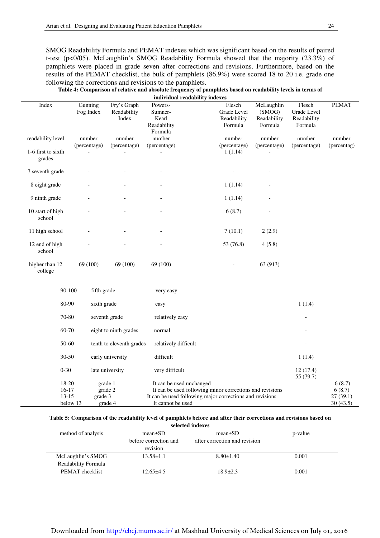֞

SMOG Readability Formula and PEMAT indexes which was significant based on the results of paired t-test (p<0/05). McLaughlin's SMOG Readability Formula showed that the majority (23.3%) of pamphlets were placed in grade seven after corrections and revisions. Furthermore, based on the results of the PEMAT checklist, the bulk of pamphlets (86.9%) were scored 18 to 20 i.e. grade one following the corrections and revisions to the pamphlets.

| Table 4: Comparison of relative and absolute frequency of pamphlets based on readability levels in terms of |
|-------------------------------------------------------------------------------------------------------------|
| individual readability indexes                                                                              |

| Index                        | Gunning<br>Fog Index | Fry's Graph<br>Readability<br>Index | Powers-<br>Sumner-<br>Kearl<br>Readability                                    | Flesch<br>Grade Level<br>Readability<br>Formula | McLaughlin<br>(SMOG)<br>Readability<br>Formula | Flesch<br>Grade Level<br>Readability<br>Formula | <b>PEMAT</b>          |
|------------------------------|----------------------|-------------------------------------|-------------------------------------------------------------------------------|-------------------------------------------------|------------------------------------------------|-------------------------------------------------|-----------------------|
| readability level            | number               | number                              | Formula<br>number                                                             | number                                          | number                                         | number                                          | number                |
|                              | (percentage)         | (percentage)                        | (percentage)                                                                  | (percentage)                                    | (percentage)                                   | (percentage)                                    | (percentag)           |
| 1-6 first to sixth<br>grades |                      |                                     |                                                                               | 1(1.14)                                         |                                                |                                                 |                       |
| 7 seventh grade              |                      |                                     |                                                                               |                                                 |                                                |                                                 |                       |
| 8 eight grade                |                      |                                     |                                                                               | 1(1.14)                                         |                                                |                                                 |                       |
| 9 ninth grade                |                      |                                     |                                                                               | 1(1.14)                                         |                                                |                                                 |                       |
| 10 start of high<br>school   |                      |                                     |                                                                               | 6(8.7)                                          |                                                |                                                 |                       |
| 11 high school               |                      |                                     |                                                                               | 7(10.1)                                         | 2(2.9)                                         |                                                 |                       |
| 12 end of high<br>school     |                      |                                     |                                                                               | 53 (76.8)                                       | 4(5.8)                                         |                                                 |                       |
| higher than 12<br>college    | 69 (100)             | 69 (100)                            | 69 (100)                                                                      |                                                 | 63 (913)                                       |                                                 |                       |
| 90-100                       | fifth grade          |                                     | very easy                                                                     |                                                 |                                                |                                                 |                       |
| 80-90                        | sixth grade          |                                     | easy                                                                          |                                                 |                                                | 1(1.4)                                          |                       |
| 70-80                        |                      | seventh grade                       | relatively easy                                                               |                                                 |                                                |                                                 |                       |
| 60-70                        |                      | eight to ninth grades               | normal                                                                        |                                                 |                                                |                                                 |                       |
| 50-60                        |                      | tenth to eleventh grades            | relatively difficult                                                          |                                                 |                                                |                                                 |                       |
| 30-50                        |                      | early university                    | difficult                                                                     |                                                 |                                                | 1(1.4)                                          |                       |
| $0 - 30$                     |                      | late university                     | very difficult                                                                |                                                 |                                                | 12(17.4)<br>55 (79.7)                           |                       |
| 18-20                        |                      | grade 1                             | It can be used unchanged                                                      |                                                 |                                                |                                                 | 6(8.7)                |
| $16-17$                      |                      | grade 2                             | It can be used following minor corrections and revisions                      |                                                 |                                                |                                                 | 6(8.7)                |
| $13 - 15$                    | grade 3<br>below 13  | grade 4                             | It can be used following major corrections and revisions<br>It cannot be used |                                                 |                                                |                                                 | 27(39.1)<br>30 (43.5) |

#### **Table 5: Comparison of the readability level of pamphlets before and after their corrections and revisions based on**

 **selected indexes**

| method of analysis  | $mean \pm SD$<br>before correction and<br>revision | $mean \pm SD$<br>after correction and revision | p-value |
|---------------------|----------------------------------------------------|------------------------------------------------|---------|
| McLaughlin's SMOG   | $13.58 \pm 1.1$                                    | $8.80 \pm 1.40$                                | 0.001   |
| Readability Formula |                                                    |                                                |         |
| PEMAT checklist     | $12.65\pm4.5$                                      | $18.9 \pm 2.3$                                 | 0.001   |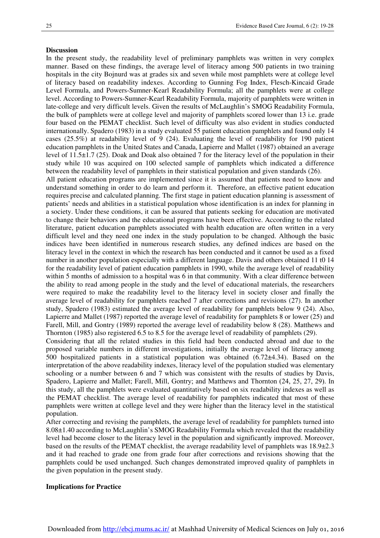### **Discussion**

In the present study, the readability level of preliminary pamphlets was written in very complex manner. Based on these findings, the average level of literacy among 500 patients in two training hospitals in the city Bojnurd was at grades six and seven while most pamphlets were at college level of literacy based on readability indexes. According to Gunning Fog Index, Flesch-Kincaid Grade Level Formula, and Powers-Sumner-Kearl Readability Formula; all the pamphlets were at college level. According to Powers-Sumner-Kearl Readability Formula, majority of pamphlets were written in late-college and very difficult levels. Given the results of McLaughlin's SMOG Readability Formula, the bulk of pamphlets were at college level and majority of pamphlets scored lower than 13 i.e. grade four based on the PEMAT checklist. Such level of difficulty was also evident in studies conducted internationally. Spadero (1983) in a study evaluated 55 patient education pamphlets and found only 14 cases (25.5%) at readability level of 9 (24). Evaluating the level of readability for 190 patient education pamphlets in the United States and Canada, Lapierre and Mallet (1987) obtained an average level of 11.5±1.7 (25). Doak and Doak also obtained 7 for the literacy level of the population in their study while 10 was acquired on 100 selected sample of pamphlets which indicated a difference between the readability level of pamphlets in their statistical population and given standards (26).

All patient education programs are implemented since it is assumed that patients need to know and understand something in order to do learn and perform it. Therefore, an effective patient education requires precise and calculated planning. The first stage in patient education planning is assessment of patients' needs and abilities in a statistical population whose identification is an index for planning in a society. Under these conditions, it can be assured that patients seeking for education are motivated to change their behaviors and the educational programs have been effective. According to the related literature, patient education pamphlets associated with health education are often written in a very difficult level and they need one index in the study population to be changed. Although the basic indices have been identified in numerous research studies, any defined indices are based on the literacy level in the context in which the research has been conducted and it cannot be used as a fixed number in another population especially with a different language. Davis and others obtained 11 t0 14 for the readability level of patient education pamphlets in 1990, while the average level of readability within 5 months of admission to a hospital was 6 in that community. With a clear difference between the ability to read among people in the study and the level of educational materials, the researchers were required to make the readability level to the literacy level in society closer and finally the average level of readability for pamphlets reached 7 after corrections and revisions (27). In another study, Spadero (1983) estimated the average level of readability for pamphlets below 9 (24). Also, Lapierre and Mallet (1987) reported the average level of readability for pamphlets 8 or lower (25) and Farell, Mill, and Gontry (1989) reported the average level of readability below 8 (28). Matthews and Thornton (1985) also registered 6.5 to 8.5 for the average level of readability of pamphlets (29).

Considering that all the related studies in this field had been conducted abroad and due to the proposed variable numbers in different investigations, initially the average level of literacy among 500 hospitalized patients in a statistical population was obtained (6.72±4.34). Based on the interpretation of the above readability indexes, literacy level of the population studied was elementary schooling or a number between 6 and 7 which was consistent with the results of studies by Davis, Spadero, Lapierre and Mallet; Farell, Mill, Gontry; and Matthews and Thornton (24, 25, 27, 29). In this study, all the pamphlets were evaluated quantitatively based on six readability indexes as well as the PEMAT checklist. The average level of readability for pamphlets indicated that most of these pamphlets were written at college level and they were higher than the literacy level in the statistical population.

After correcting and revising the pamphlets, the average level of readability for pamphlets turned into 8.08±1.40 according to McLaughlin's SMOG Readability Formula which revealed that the readability level had become closer to the literacy level in the population and significantly improved. Moreover, based on the results of the PEMAT checklist, the average readability level of pamphlets was  $18.9\pm2.3$ and it had reached to grade one from grade four after corrections and revisions showing that the pamphlets could be used unchanged. Such changes demonstrated improved quality of pamphlets in the given population in the present study.

# **Implications for Practice**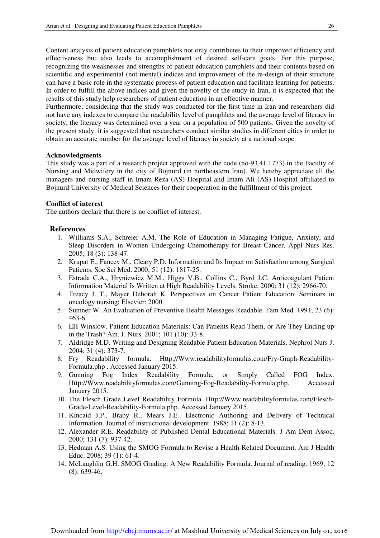Content analysis of patient education pamphlets not only contributes to their improved efficiency and effectiveness but also leads to accomplishment of desired self-care goals. For this purpose, recognizing the weaknesses and strengths of patient education pamphlets and their contents based on scientific and experimental (not mental) indices and improvement of the re-design of their structure can have a basic role in the systematic process of patient education and facilitate learning for patients. In order to fulfill the above indices and given the novelty of the study in Iran, it is expected that the results of this study help researchers of patient education in an effective manner.

Furthermore; considering that the study was conducted for the first time in Iran and researchers did not have any indexes to compare the readability level of pamphlets and the average level of literacy in society, the literacy was determined over a year on a population of 500 patients. Given the novelty of the present study, it is suggested that researchers conduct similar studies in different cities in order to obtain an accurate number for the average level of literacy in society at a national scope.

# **Acknowledgments**

֞

This study was a part of a research project approved with the code (no-93.41.1773) in the Faculty of Nursing and Midwifery in the city of Bojnurd (in northeastern Iran). We hereby appreciate all the managers and nursing staff in Imam Reza (AS) Hospital and Imam Ali (AS) Hospital affiliated to Bojnurd University of Medical Sciences for their cooperation in the fulfillment of this project.

# **Conflict of interest**

The authors declare that there is no conflict of interest.

# **References**

- 1. Williams S.A., Schreier A.M. The Role of Education in Managing Fatigue, Anxiety, and Sleep Disorders in Women Undergoing Chemotherapy for Breast Cancer. Appl Nurs Res. 2005; 18 (3): 138-47.
- 2. Krupat E., Fancey M., Cleary P.D. Information and Its Impact on Satisfaction among Surgical Patients. Soc Sci Med. 2000; 51 (12): 1817-25.
- 3. Estrada C.A., Hryniewicz M.M., Higgs V.B., Collins C., Byrd J.C. Anticoagulant Patient Information Material Is Written at High Readability Levels. Stroke. 2000; 31 (12): 2966-70.
- 4. Treacy J. T., Mayer Deborah K. Perspectives on Cancer Patient Education. Seminars in oncology nursing; Elsevier: 2000.
- 5. Sumner W. An Evaluation of Preventive Health Messages Readable. Fam Med. 1991; 23 (6): 463-6.
- 6. EH Winslow. Patient Education Materials: Can Patients Read Them, or Are They Ending up in the Trash? Am. J. Nurs. 2001; 101 (10): 33-8.
- 7. Aldridge M.D. Writing and Designing Readable Patient Education Materials. Nephrol Nurs J. 2004; 31 (4): 373-7.
- 8. Fry Readability formula. Http://Www.readabilityformulas.com/Fry-Graph-Readability-Formula.php . Accessed January 2015.
- 9. Gunning Fog Index Readability Formula, or Simply Called FOG Index. Http://Www.readabilityformulas.com/Gunning-Fog-Readability-Formula.php. Accessed January 2015.
- 10. The Flesch Grade Level Readability Formula. Http://Www.readabilityformulas.com/Flesch-Grade-Level-Readability-Formula.php. Accessed January 2015.
- 11. Kincaid J.P., Braby R., Mears J.E.. Electronic Authoring and Delivery of Technical Information. Journal of instructional development. 1988; 11 (2): 8-13.
- 12. Alexander R.E. Readability of Published Dental Educational Materials. J Am Dent Assoc. 2000; 131 (7): 937-42.
- 13. Hedman A.S. Using the SMOG Formula to Revise a Health-Related Document. Am J Health Educ. 2008; 39 (1): 61-4.
- 14. McLaughlin G.H. SMOG Grading: A New Readability Formula. Journal of reading. 1969; 12 (8): 639-46.